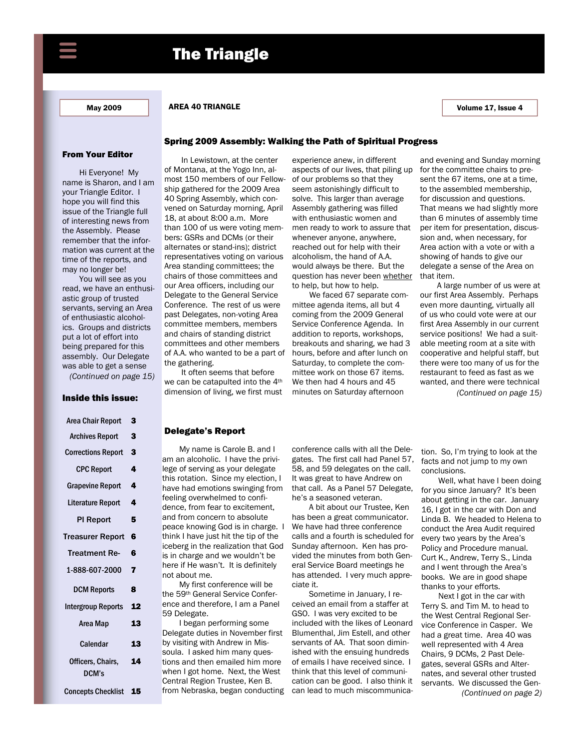

#### May 2009 **AREA 40 TRIANGLE AREA 40 TRIANGLE** And All 2009 **AREA 40 TRIANGLE**

#### From Your Editor

Hi Everyone! My name is Sharon, and I am your Triangle Editor. I hope you will find this issue of the Triangle full of interesting news from the Assembly. Please remember that the information was current at the time of the reports, and may no longer be!

You will see as you read, we have an enthusiastic group of trusted servants, serving an Area of enthusiastic alcoholics. Groups and districts put a lot of effort into being prepared for this assembly. Our Delegate was able to get a sense *(Continued on page 15)* 

# Inside this issue:

| Area Chair Report          | 3  |
|----------------------------|----|
| <b>Archives Report</b>     | 3  |
| <b>Corrections Report</b>  | 3  |
| <b>CPC Report</b>          | 4  |
| <b>Grapevine Report</b>    | 4  |
| Literature Report          | 4  |
| <b>PI Report</b>           | 5  |
| Treasurer Report           | 6  |
| <b>Treatment Re-</b>       | 6  |
| 1-888-607-2000             | 7  |
| <b>DCM Reports</b>         | 8  |
| Intergroup Reports         | 12 |
| Area Map                   | 13 |
| <b>Calendar</b>            | 13 |
| Officers, Chairs,<br>DCM's | 14 |
|                            |    |

Concepts Checklist 15

# Spring 2009 Assembly: Walking the Path of Spiritual Progress

In Lewistown, at the center of Montana, at the Yogo Inn, almost 150 members of our Fellowship gathered for the 2009 Area 40 Spring Assembly, which convened on Saturday morning, April 18, at about 8:00 a.m. More than 100 of us were voting members: GSRs and DCMs (or their alternates or stand-ins); district representatives voting on various Area standing committees; the chairs of those committees and our Area officers, including our Delegate to the General Service Conference. The rest of us were past Delegates, non-voting Area committee members, members and chairs of standing district committees and other members of A.A. who wanted to be a part of the gathering.

It often seems that before we can be catapulted into the 4th dimension of living, we first must experience anew, in different aspects of our lives, that piling up of our problems so that they seem astonishingly difficult to solve. This larger than average Assembly gathering was filled with enthusiastic women and men ready to work to assure that whenever anyone, anywhere, reached out for help with their alcoholism, the hand of A.A. would always be there. But the question has never been whether to help, but how to help.

We faced 67 separate committee agenda items, all but 4 coming from the 2009 General Service Conference Agenda. In addition to reports, workshops, breakouts and sharing, we had 3 hours, before and after lunch on Saturday, to complete the committee work on those 67 items. We then had 4 hours and 45 minutes on Saturday afternoon

and evening and Sunday morning for the committee chairs to present the 67 items, one at a time, to the assembled membership, for discussion and questions. That means we had slightly more than 6 minutes of assembly time per item for presentation, discussion and, when necessary, for Area action with a vote or with a showing of hands to give our delegate a sense of the Area on that item.

A large number of us were at our first Area Assembly. Perhaps even more daunting, virtually all of us who could vote were at our first Area Assembly in our current service positions! We had a suitable meeting room at a site with cooperative and helpful staff, but there were too many of us for the restaurant to feed as fast as we wanted, and there were technical *(Continued on page 15)* 

#### Delegate's Report

My name is Carole B. and I am an alcoholic. I have the privilege of serving as your delegate this rotation. Since my election, I have had emotions swinging from feeling overwhelmed to confidence, from fear to excitement, and from concern to absolute peace knowing God is in charge. I think I have just hit the tip of the iceberg in the realization that God is in charge and we wouldn't be here if He wasn't. It is definitely not about me.

My first conference will be the 59th General Service Conference and therefore, I am a Panel 59 Delegate.

I began performing some Delegate duties in November first by visiting with Andrew in Missoula. I asked him many questions and then emailed him more when I got home. Next, the West Central Region Trustee, Ken B. from Nebraska, began conducting conference calls with all the Delegates. The first call had Panel 57, 58, and 59 delegates on the call. It was great to have Andrew on that call. As a Panel 57 Delegate, he's a seasoned veteran.

A bit about our Trustee, Ken has been a great communicator. We have had three conference calls and a fourth is scheduled for Sunday afternoon. Ken has provided the minutes from both General Service Board meetings he has attended. I very much appreciate it.

Sometime in January, I received an email from a staffer at GSO. I was very excited to be included with the likes of Leonard Blumenthal, Jim Estell, and other servants of AA. That soon diminished with the ensuing hundreds of emails I have received since. I think that this level of communication can be good. I also think it can lead to much miscommunication. So, I'm trying to look at the facts and not jump to my own conclusions.

Well, what have I been doing for you since January? It's been about getting in the car. January 16, I got in the car with Don and Linda B. We headed to Helena to conduct the Area Audit required every two years by the Area's Policy and Procedure manual. Curt K., Andrew, Terry S., Linda and I went through the Area's books. We are in good shape thanks to your efforts.

Next I got in the car with Terry S. and Tim M. to head to the West Central Regional Service Conference in Casper. We had a great time. Area 40 was well represented with 4 Area Chairs, 9 DCMs, 2 Past Delegates, several GSRs and Alternates, and several other trusted servants. We discussed the Gen- *(Continued on page 2)*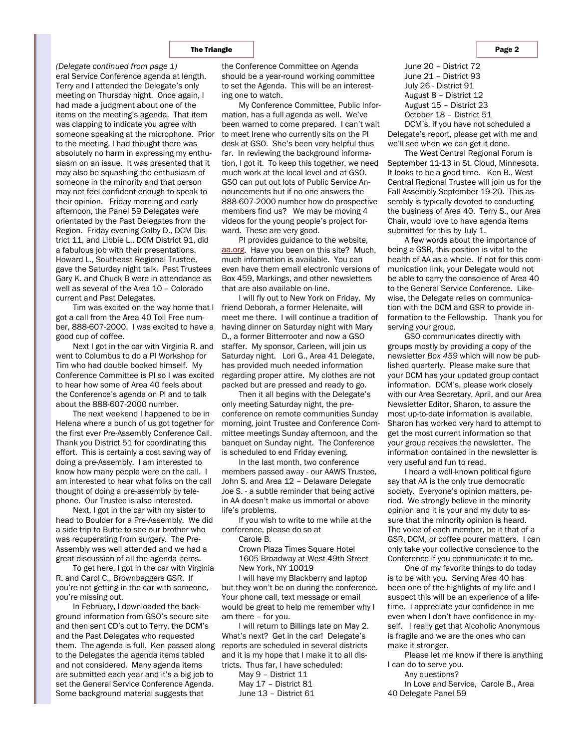eral Service Conference agenda at length. Terry and I attended the Delegate's only meeting on Thursday night. Once again, I had made a judgment about one of the items on the meeting's agenda. That item was clapping to indicate you agree with someone speaking at the microphone. Prior to the meeting, I had thought there was absolutely no harm in expressing my enthusiasm on an issue. It was presented that it may also be squashing the enthusiasm of someone in the minority and that person may not feel confident enough to speak to their opinion. Friday morning and early afternoon, the Panel 59 Delegates were orientated by the Past Delegates from the Region. Friday evening Colby D., DCM District 11, and Libbie L., DCM District 91, did a fabulous job with their presentations. Howard L., Southeast Regional Trustee, gave the Saturday night talk. Past Trustees Gary K. and Chuck B were in attendance as well as several of the Area 10 – Colorado current and Past Delegates. *(Delegate continued from page 1)* the Conference Committee on Agenda

Tim was excited on the way home that I got a call from the Area 40 Toll Free number, 888-607-2000. I was excited to have a good cup of coffee.

Next I got in the car with Virginia R. and went to Columbus to do a PI Workshop for Tim who had double booked himself. My Conference Committee is PI so I was excited to hear how some of Area 40 feels about the Conference's agenda on PI and to talk about the 888-607-2000 number.

The next weekend I happened to be in Helena where a bunch of us got together for the first ever Pre-Assembly Conference Call. Thank you District 51 for coordinating this effort. This is certainly a cost saving way of doing a pre-Assembly. I am interested to know how many people were on the call. I am interested to hear what folks on the call thought of doing a pre-assembly by telephone. Our Trustee is also interested.

Next, I got in the car with my sister to head to Boulder for a Pre-Assembly. We did a side trip to Butte to see our brother who was recuperating from surgery. The Pre-Assembly was well attended and we had a great discussion of all the agenda items.

To get here, I got in the car with Virginia R. and Carol C., Brownbaggers GSR. If you're not getting in the car with someone, you're missing out.

In February, I downloaded the background information from GSO's secure site and then sent CD's out to Terry, the DCM's and the Past Delegates who requested them. The agenda is full. Ken passed along to the Delegates the agenda items tabled and not considered. Many agenda items are submitted each year and it's a big job to set the General Service Conference Agenda. Some background material suggests that

should be a year-round working committee to set the Agenda. This will be an interesting one to watch.

My Conference Committee, Public Information, has a full agenda as well. We've been warned to come prepared. I can't wait to meet Irene who currently sits on the PI desk at GSO. She's been very helpful thus far. In reviewing the background information, I got it. To keep this together, we need much work at the local level and at GSO. GSO can put out lots of Public Service Announcements but if no one answers the 888-607-2000 number how do prospective members find us? We may be moving 4 videos for the young people's project forward. These are very good.

PI provides guidance to the website, aa.org. Have you been on this site? Much, much information is available. You can even have them email electronic versions of Box 459, Markings, and other newsletters that are also available on-line.

I will fly out to New York on Friday. My friend Deborah, a former Helenaite, will meet me there. I will continue a tradition of having dinner on Saturday night with Mary D., a former Bitterrooter and now a GSO staffer. My sponsor, Carleen, will join us Saturday night. Lori G., Area 41 Delegate, has provided much needed information regarding proper attire. My clothes are not packed but are pressed and ready to go.

Then it all begins with the Delegate's only meeting Saturday night, the preconference on remote communities Sunday morning, joint Trustee and Conference Committee meetings Sunday afternoon, and the banquet on Sunday night. The Conference is scheduled to end Friday evening.

In the last month, two conference members passed away - our AAWS Trustee, John S. and Area 12 – Delaware Delegate Joe S. - a subtle reminder that being active in AA doesn't make us immortal or above life's problems.

If you wish to write to me while at the conference, please do so at

Carole B.

Crown Plaza Times Square Hotel 1605 Broadway at West 49th Street New York, NY 10019

I will have my Blackberry and laptop but they won't be on during the conference. Your phone call, text message or email would be great to help me remember why I am there – for you.

I will return to Billings late on May 2. What's next? Get in the car! Delegate's reports are scheduled in several districts and it is my hope that I make it to all districts. Thus far, I have scheduled:

May 9 – District 11 May 17 – District 81

June 13 – District 61

June 20 – District 72 June 21 – District 93 July 26 - District 91 August 8 – District 12 August 15 – District 23

October 18 – District 51

DCM's, if you have not scheduled a Delegate's report, please get with me and we'll see when we can get it done.

The West Central Regional Forum is September 11-13 in St. Cloud, Minnesota. It looks to be a good time. Ken B., West Central Regional Trustee will join us for the Fall Assembly September 19-20. This assembly is typically devoted to conducting the business of Area 40. Terry S., our Area Chair, would love to have agenda items submitted for this by July 1.

A few words about the importance of being a GSR, this position is vital to the health of AA as a whole. If not for this communication link, your Delegate would not be able to carry the conscience of Area 40 to the General Service Conference. Likewise, the Delegate relies on communication with the DCM and GSR to provide information to the Fellowship. Thank you for serving your group.

GSO communicates directly with groups mostly by providing a copy of the newsletter *Box 459* which will now be published quarterly. Please make sure that your DCM has your updated group contact information. DCM's, please work closely with our Area Secretary, April, and our Area Newsletter Editor, Sharon, to assure the most up-to-date information is available. Sharon has worked very hard to attempt to get the most current information so that your group receives the newsletter. The information contained in the newsletter is very useful and fun to read.

I heard a well-known political figure say that AA is the only true democratic society. Everyone's opinion matters, period. We strongly believe in the minority opinion and it is your and my duty to assure that the minority opinion is heard. The voice of each member, be it that of a GSR, DCM, or coffee pourer matters. I can only take your collective conscience to the Conference if you communicate it to me.

One of my favorite things to do today is to be with you. Serving Area 40 has been one of the highlights of my life and I suspect this will be an experience of a lifetime. I appreciate your confidence in me even when I don't have confidence in myself. I really get that Alcoholic Anonymous is fragile and we are the ones who can make it stronger.

Please let me know if there is anything I can do to serve you.

Any questions?

In Love and Service, Carole B., Area 40 Delegate Panel 59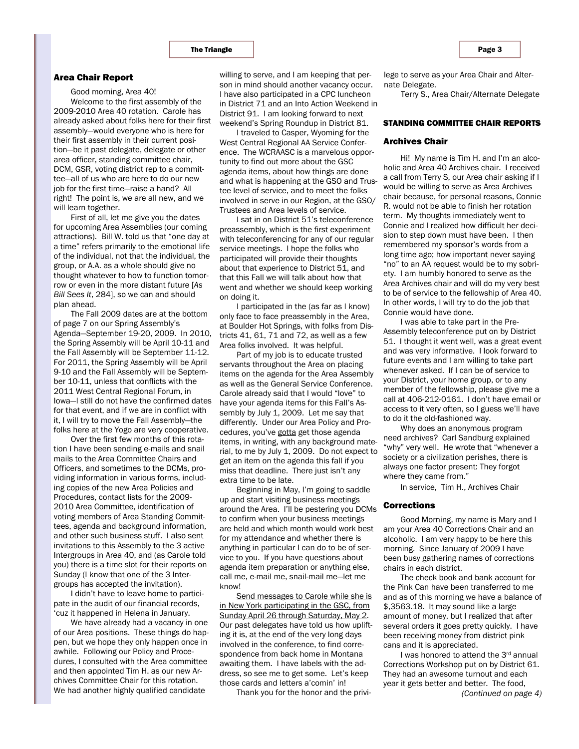#### Area Chair Report

Good morning, Area 40!

Welcome to the first assembly of the 2009-2010 Area 40 rotation. Carole has already asked about folks here for their first assembly—would everyone who is here for their first assembly in their current position—be it past delegate, delegate or other area officer, standing committee chair, DCM, GSR, voting district rep to a committee—all of us who are here to do our new job for the first time—raise a hand? All right! The point is, we are all new, and we will learn together.

First of all, let me give you the dates for upcoming Area Assemblies (our coming attractions). Bill W. told us that "one day at a time" refers primarily to the emotional life of the individual, not that the individual, the group, or A.A. as a whole should give no thought whatever to how to function tomorrow or even in the more distant future [*As Bill Sees It*, 284], so we can and should plan ahead.

The Fall 2009 dates are at the bottom of page 7 on our Spring Assembly's Agenda—September 19-20, 2009. In 2010, the Spring Assembly will be April 10-11 and the Fall Assembly will be September 11-12. For 2011, the Spring Assembly will be April 9-10 and the Fall Assembly will be September 10-11, unless that conflicts with the 2011 West Central Regional Forum, in Iowa—I still do not have the confirmed dates for that event, and if we are in conflict with it, I will try to move the Fall Assembly—the folks here at the Yogo are very cooperative.

Over the first few months of this rotation I have been sending e-mails and snail mails to the Area Committee Chairs and Officers, and sometimes to the DCMs, providing information in various forms, including copies of the new Area Policies and Procedures, contact lists for the 2009- 2010 Area Committee, identification of voting members of Area Standing Committees, agenda and background information, and other such business stuff. I also sent invitations to this Assembly to the 3 active Intergroups in Area 40, and (as Carole told you) there is a time slot for their reports on Sunday (I know that one of the 3 Intergroups has accepted the invitation).

I didn't have to leave home to participate in the audit of our financial records, 'cuz it happened in Helena in January.

We have already had a vacancy in one of our Area positions. These things do happen, but we hope they only happen once in awhile. Following our Policy and Procedures, I consulted with the Area committee and then appointed Tim H. as our new Archives Committee Chair for this rotation. We had another highly qualified candidate

willing to serve, and I am keeping that person in mind should another vacancy occur. I have also participated in a CPC luncheon in District 71 and an Into Action Weekend in District 91. I am looking forward to next weekend's Spring Roundup in District 81.

I traveled to Casper, Wyoming for the West Central Regional AA Service Conference. The WCRAASC is a marvelous opportunity to find out more about the GSC agenda items, about how things are done and what is happening at the GSO and Trustee level of service, and to meet the folks involved in serve in our Region, at the GSO/ Trustees and Area levels of service.

I sat in on District 51's teleconference preassembly, which is the first experiment with teleconferencing for any of our regular service meetings. I hope the folks who participated will provide their thoughts about that experience to District 51, and that this Fall we will talk about how that went and whether we should keep working on doing it.

I participated in the (as far as I know) only face to face preassembly in the Area, at Boulder Hot Springs, with folks from Districts 41, 61, 71 and 72, as well as a few Area folks involved. It was helpful.

Part of my job is to educate trusted servants throughout the Area on placing items on the agenda for the Area Assembly as well as the General Service Conference. Carole already said that I would "love" to have your agenda items for this Fall's Assembly by July 1, 2009. Let me say that differently. Under our Area Policy and Procedures, you've gotta get those agenda items, in writing, with any background material, to me by July 1, 2009. Do not expect to get an item on the agenda this fall if you miss that deadline. There just isn't any extra time to be late.

Beginning in May, I'm going to saddle up and start visiting business meetings around the Area. I'll be pestering you DCMs to confirm when your business meetings are held and which month would work best for my attendance and whether there is anything in particular I can do to be of service to you. If you have questions about agenda item preparation or anything else, call me, e-mail me, snail-mail me—let me know!

Send messages to Carole while she is in New York participating in the GSC, from Sunday April 26 through Saturday, May 2. Our past delegates have told us how uplifting it is, at the end of the very long days involved in the conference, to find correspondence from back home in Montana awaiting them. I have labels with the address, so see me to get some. Let's keep those cards and letters a'comin' in!

Thank you for the honor and the privi-

lege to serve as your Area Chair and Alternate Delegate.

Terry S., Area Chair/Alternate Delegate

### STANDING COMMITTEE CHAIR REPORTS

#### Archives Chair

Hi! My name is Tim H. and I'm an alcoholic and Area 40 Archives chair. I received a call from Terry S, our Area chair asking if I would be willing to serve as Area Archives chair because, for personal reasons, Connie R. would not be able to finish her rotation term. My thoughts immediately went to Connie and I realized how difficult her decision to step down must have been. I then remembered my sponsor's words from a long time ago; how important never saying "no" to an AA request would be to my sobriety. I am humbly honored to serve as the Area Archives chair and will do my very best to be of service to the fellowship of Area 40. In other words, I will try to do the job that Connie would have done.

I was able to take part in the Pre-Assembly teleconference put on by District 51. I thought it went well, was a great event and was very informative. I look forward to future events and I am willing to take part whenever asked. If I can be of service to your District, your home group, or to any member of the fellowship, please give me a call at 406-212-0161. I don't have email or access to it very often, so I guess we'll have to do it the old-fashioned way.

Why does an anonymous program need archives? Carl Sandburg explained "why" very well. He wrote that "whenever a society or a civilization perishes, there is always one factor present: They forgot where they came from."

In service, Tim H., Archives Chair

# Corrections

Good Morning, my name is Mary and I am your Area 40 Corrections Chair and an alcoholic. I am very happy to be here this morning. Since January of 2009 I have been busy gathering names of corrections chairs in each district.

The check book and bank account for the Pink Can have been transferred to me and as of this morning we have a balance of \$,3563.18. It may sound like a large amount of money, but I realized that after several orders it goes pretty quickly. I have been receiving money from district pink cans and it is appreciated.

I was honored to attend the 3rd annual Corrections Workshop put on by District 61. They had an awesome turnout and each year it gets better and better. The food, *(Continued on page 4)*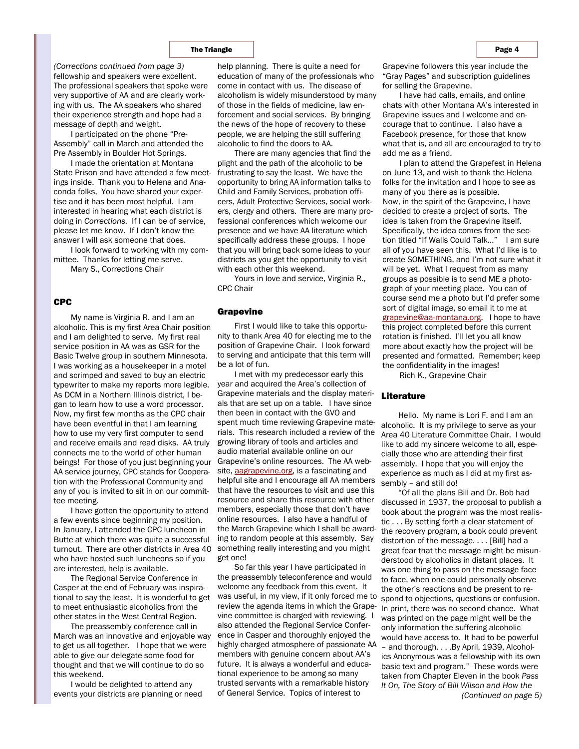#### The Triangle **Page 4** and the Page 4 and the Page 4 and the Page 4 and the Page 4 and the Page 4

fellowship and speakers were excellent. The professional speakers that spoke were very supportive of AA and are clearly working with us. The AA speakers who shared their experience strength and hope had a message of depth and weight.

I participated on the phone "Pre-Assembly" call in March and attended the Pre Assembly in Boulder Hot Springs.

I made the orientation at Montana State Prison and have attended a few meetings inside. Thank you to Helena and Anaconda folks, You have shared your expertise and it has been most helpful. I am interested in hearing what each district is doing in *Corrections.* If I can be of service, please let me know. If I don't know the answer I will ask someone that does.

I look forward to working with my committee. Thanks for letting me serve.

Mary S., Corrections Chair

#### CPC

Grapevine My name is Virginia R. and I am an alcoholic. This is my first Area Chair position and I am delighted to serve. My first real service position in AA was as GSR for the Basic Twelve group in southern Minnesota. I was working as a housekeeper in a motel and scrimped and saved to buy an electric typewriter to make my reports more legible. As DCM in a Northern Illinois district, I began to learn how to use a word processor. Now, my first few months as the CPC chair have been eventful in that I am learning how to use my very first computer to send and receive emails and read disks. AA truly connects me to the world of other human beings! For those of you just beginning your AA service journey, CPC stands for Cooperation with the Professional Community and any of you is invited to sit in on our committee meeting.

I have gotten the opportunity to attend a few events since beginning my position. In January, I attended the CPC luncheon in Butte at which there was quite a successful turnout. There are other districts in Area 40 who have hosted such luncheons so if you are interested, help is available.

The Regional Service Conference in Casper at the end of February was inspirational to say the least. It is wonderful to get to meet enthusiastic alcoholics from the other states in the West Central Region.

The preassembly conference call in March was an innovative and enjoyable way to get us all together. I hope that we were able to give our delegate some food for thought and that we will continue to do so this weekend.

I would be delighted to attend any events your districts are planning or need

help planning. There is quite a need for education of many of the professionals who come in contact with us. The disease of alcoholism is widely misunderstood by many of those in the fields of medicine, law enforcement and social services. By bringing the news of the hope of recovery to these people, we are helping the still suffering alcoholic to find the doors to AA.

There are many agencies that find the plight and the path of the alcoholic to be frustrating to say the least. We have the opportunity to bring AA information talks to Child and Family Services, probation officers, Adult Protective Services, social workers, clergy and others. There are many professional conferences which welcome our presence and we have AA literature which specifically address these groups. I hope that you will bring back some ideas to your districts as you get the opportunity to visit with each other this weekend.

Yours in love and service, Virginia R., CPC Chair

First I would like to take this opportunity to thank Area 40 for electing me to the position of Grapevine Chair. I look forward to serving and anticipate that this term will be a lot of fun.

I met with my predecessor early this year and acquired the Area's collection of Grapevine materials and the display materials that are set up on a table. I have since then been in contact with the GVO and spent much time reviewing Grapevine materials. This research included a review of the growing library of tools and articles and audio material available online on our Grapevine's online resources. The AA website, aagrapevine.org, is a fascinating and helpful site and I encourage all AA members that have the resources to visit and use this resource and share this resource with other members, especially those that don't have online resources. I also have a handful of the March Grapevine which I shall be awarding to random people at this assembly. Say something really interesting and you might get one!

So far this year I have participated in the preassembly teleconference and would welcome any feedback from this event. It was useful, in my view, if it only forced me to review the agenda items in which the Grapevine committee is charged with reviewing. I also attended the Regional Service Conference in Casper and thoroughly enjoyed the highly charged atmosphere of passionate AA members with genuine concern about AA's future. It is always a wonderful and educational experience to be among so many trusted servants with a remarkable history of General Service. Topics of interest to

*(Corrections continued from page 3)* belp planning. There is quite a need for Grapevine followers this year include the "Gray Pages" and subscription guidelines for selling the Grapevine.

> I have had calls, emails, and online chats with other Montana AA's interested in Grapevine issues and I welcome and encourage that to continue. I also have a Facebook presence, for those that know what that is, and all are encouraged to try to add me as a friend.

> I plan to attend the Grapefest in Helena on June 13, and wish to thank the Helena folks for the invitation and I hope to see as many of you there as is possible. Now, in the spirit of the Grapevine, I have decided to create a project of sorts. The idea is taken from the Grapevine itself. Specifically, the idea comes from the section titled "If Walls Could Talk…" I am sure all of you have seen this. What I'd like is to create SOMETHING, and I'm not sure what it will be yet. What I request from as many groups as possible is to send ME a photograph of your meeting place. You can of course send me a photo but I'd prefer some sort of digital image, so email it to me at grapevine@aa-montana.org. I hope to have this project completed before this current rotation is finished. I'll let you all know more about exactly how the project will be presented and formatted. Remember; keep the confidentiality in the images!

Rich K., Grapevine Chair

## Literature

Hello. My name is Lori F. and I am an alcoholic. It is my privilege to serve as your Area 40 Literature Committee Chair. I would like to add my sincere welcome to all, especially those who are attending their first assembly. I hope that you will enjoy the experience as much as I did at my first assembly – and still do!

"Of all the plans Bill and Dr. Bob had discussed in 1937, the proposal to publish a book about the program was the most realistic . . . By setting forth a clear statement of the recovery program, a book could prevent distortion of the message. . . . [Bill] had a great fear that the message might be misunderstood by alcoholics in distant places. It was one thing to pass on the message face to face, when one could personally observe the other's reactions and be present to respond to objections, questions or confusion. In print, there was no second chance. What was printed on the page might well be the only information the suffering alcoholic would have access to. It had to be powerful – and thorough. . . .By April, 1939, Alcoholics Anonymous was a fellowship with its own basic text and program." These words were taken from Chapter Eleven in the book *Pass It On, The Story of Bill Wilson and How the (Continued on page 5)*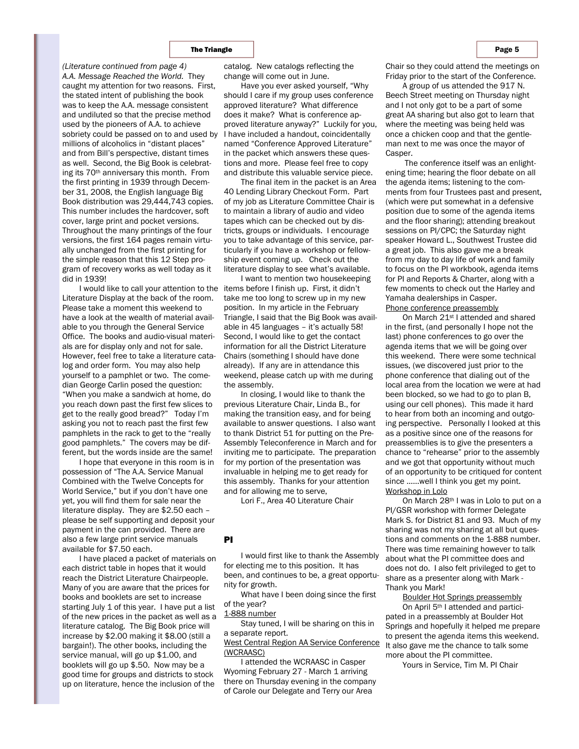*A.A. Message Reached the World.* They caught my attention for two reasons. First, the stated intent of publishing the book was to keep the A.A. message consistent and undiluted so that the precise method used by the pioneers of A.A. to achieve sobriety could be passed on to and used by millions of alcoholics in "distant places" and from Bill's perspective, distant times as well. Second, the Big Book is celebrating its 70th anniversary this month. From the first printing in 1939 through December 31, 2008, the English language Big Book distribution was 29,444,743 copies. This number includes the hardcover, soft cover, large print and pocket versions. Throughout the many printings of the four versions, the first 164 pages remain virtually unchanged from the first printing for the simple reason that this 12 Step program of recovery works as well today as it did in 1939! *(Literature continued from page 4)* 

I would like to call your attention to the Literature Display at the back of the room. Please take a moment this weekend to have a look at the wealth of material available to you through the General Service Office. The books and audio-visual materials are for display only and not for sale. However, feel free to take a literature catalog and order form. You may also help yourself to a pamphlet or two. The comedian George Carlin posed the question: "When you make a sandwich at home, do you reach down past the first few slices to get to the really good bread?" Today I'm asking you not to reach past the first few pamphlets in the rack to get to the "really good pamphlets." The covers may be different, but the words inside are the same!

I hope that everyone in this room is in possession of "The A.A. Service Manual Combined with the Twelve Concepts for World Service," but if you don't have one yet, you will find them for sale near the literature display. They are \$2.50 each – please be self supporting and deposit your payment in the can provided. There are also a few large print service manuals available for \$7.50 each.

I have placed a packet of materials on each district table in hopes that it would reach the District Literature Chairpeople. Many of you are aware that the prices for books and booklets are set to increase starting July 1 of this year. I have put a list of the new prices in the packet as well as a literature catalog. The Big Book price will increase by \$2.00 making it \$8.00 (still a bargain!). The other books, including the service manual, will go up \$1.00, and booklets will go up \$.50. Now may be a good time for groups and districts to stock up on literature, hence the inclusion of the

catalog. New catalogs reflecting the change will come out in June.

Have you ever asked yourself, "Why should I care if my group uses conference approved literature? What difference does it make? What is conference approved literature anyway?" Luckily for you, I have included a handout, coincidentally named "Conference Approved Literature" in the packet which answers these questions and more. Please feel free to copy and distribute this valuable service piece.

The final item in the packet is an Area 40 Lending Library Checkout Form. Part of my job as Literature Committee Chair is to maintain a library of audio and video tapes which can be checked out by districts, groups or individuals. I encourage you to take advantage of this service, particularly if you have a workshop or fellowship event coming up. Check out the literature display to see what's available.

I want to mention two housekeeping items before I finish up. First, it didn't take me too long to screw up in my new position. In my article in the February Triangle, I said that the Big Book was available in 45 languages – it's actually 58! Second, I would like to get the contact information for all the District Literature Chairs (something I should have done already). If any are in attendance this weekend, please catch up with me during the assembly.

In closing, I would like to thank the previous Literature Chair, Linda B., for making the transition easy, and for being available to answer questions. I also want to thank District 51 for putting on the Pre-Assembly Teleconference in March and for inviting me to participate. The preparation for my portion of the presentation was invaluable in helping me to get ready for this assembly. Thanks for your attention and for allowing me to serve,

Lori F., Area 40 Literature Chair

# PI

I would first like to thank the Assembly for electing me to this position. It has been, and continues to be, a great opportunity for growth.

What have I been doing since the first of the year?

1-888 number

Stay tuned, I will be sharing on this in a separate report.

West Central Region AA Service Conference (WCRAASC)

I attended the WCRAASC in Casper Wyoming February 27 - March 1 arriving there on Thursday evening in the company of Carole our Delegate and Terry our Area

Chair so they could attend the meetings on Friday prior to the start of the Conference.

A group of us attended the 917 N. Beech Street meeting on Thursday night and I not only got to be a part of some great AA sharing but also got to learn that where the meeting was being held was once a chicken coop and that the gentleman next to me was once the mayor of Casper.

 The conference itself was an enlightening time; hearing the floor debate on all the agenda items; listening to the comments from four Trustees past and present, (which were put somewhat in a defensive position due to some of the agenda items and the floor sharing); attending breakout sessions on PI/CPC; the Saturday night speaker Howard L., Southwest Trustee did a great job. This also gave me a break from my day to day life of work and family to focus on the PI workbook, agenda items for PI and Reports & Charter, along with a few moments to check out the Harley and Yamaha dealerships in Casper. Phone conference preassembly

On March 21st I attended and shared in the first, (and personally I hope not the last) phone conferences to go over the agenda items that we will be going over this weekend. There were some technical issues, (we discovered just prior to the phone conference that dialing out of the local area from the location we were at had been blocked, so we had to go to plan B, using our cell phones). This made it hard to hear from both an incoming and outgoing perspective. Personally I looked at this as a positive since one of the reasons for preassemblies is to give the presenters a chance to "rehearse" prior to the assembly and we got that opportunity without much of an opportunity to be critiqued for content since ……well I think you get my point. Workshop in Lolo

On March 28th I was in Lolo to put on a PI/GSR workshop with former Delegate Mark S. for District 81 and 93. Much of my sharing was not my sharing at all but questions and comments on the 1-888 number. There was time remaining however to talk about what the PI committee does and does not do. I also felt privileged to get to share as a presenter along with Mark - Thank you Mark!

Boulder Hot Springs preassembly On April 5th I attended and participated in a preassembly at Boulder Hot Springs and hopefully it helped me prepare to present the agenda items this weekend. It also gave me the chance to talk some more about the PI committee.

Yours in Service, Tim M. PI Chair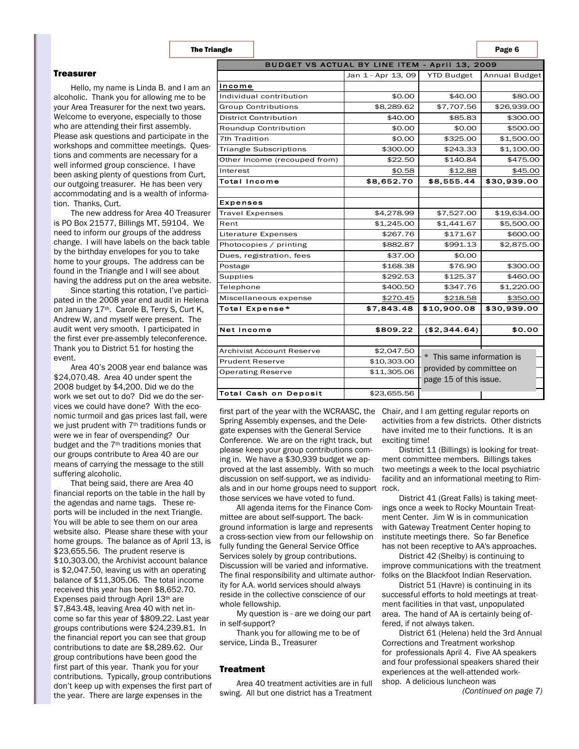#### **Treasurer**

Hello, my name is Linda B. and I am an alcoholic. Thank you for allowing me to be your Area Treasurer for the next two years. Welcome to everyone, especially to those who are attending their first assembly. Please ask questions and participate in the workshops and committee meetings. Questions and comments are necessary for a well informed group conscience. I have been asking plenty of questions from Curt, our outgoing treasurer. He has been very accommodating and is a wealth of information. Thanks, Curt.

The new address for Area 40 Treasurer is PO Box 21577, Billings MT, 59104. We need to inform our groups of the address change. I will have labels on the back table by the birthday envelopes for you to take home to your groups. The address can be found in the Triangle and I will see about having the address put on the area website.

Since starting this rotation, I've participated in the 2008 year end audit in Helena on January 17th. Carole B, Terry S, Curt K, Andrew W, and myself were present. The audit went very smooth. I participated in the first ever pre-assembly teleconference. Thank you to District 51 for hosting the event.

Area 40's 2008 year end balance was \$24,070.48. Area 40 under spent the 2008 budget by \$4,200. Did we do the work we set out to do? Did we do the services we could have done? With the economic turmoil and gas prices last fall, were we just prudent with 7th traditions funds or were we in fear of overspending? Our budget and the 7th traditions monies that our groups contribute to Area 40 are our means of carrying the message to the still suffering alcoholic.

That being said, there are Area 40 financial reports on the table in the hall by the agendas and name tags. These reports will be included in the next Triangle. You will be able to see them on our area website also. Please share these with your home groups. The balance as of April 13, is \$23,655.56. The prudent reserve is \$10,303.00, the Archivist account balance is \$2,047.50, leaving us with an operating balance of \$11,305.06. The total income received this year has been \$8,652.70. Expenses paid through April 13th are \$7,843.48, leaving Area 40 with net income so far this year of \$809.22. Last year groups contributions were \$24,239.81. In the financial report you can see that group contributions to date are \$8,289.62. Our group contributions have been good the first part of this year. Thank you for your contributions. Typically, group contributions don't keep up with expenses the first part of the year. There are large expenses in the

| <b>BUDGET VS ACTUAL BY LINE ITEM - April 13, 2009</b> |                    |                                                        |               |
|-------------------------------------------------------|--------------------|--------------------------------------------------------|---------------|
|                                                       | Jan 1 - Apr 13, 09 | <b>YTD Budget</b>                                      | Annual Budget |
| Income                                                |                    |                                                        |               |
| Individual contribution                               | \$0.00             | \$40.00                                                | \$80.00       |
| <b>Group Contributions</b>                            | \$8,289.62         | \$7,707.56                                             | \$26,939.00   |
| <b>District Contribution</b>                          | \$40.00            | \$85.83                                                | \$300.00      |
| Roundup Contribution                                  | \$0.00             | \$0.00                                                 | \$500.00      |
| 7th Tradition                                         | \$0.00             | \$325.00                                               | \$1,500.00    |
| <b>Triangle Subscriptions</b>                         | \$300.00           | \$243.33                                               | \$1,100.00    |
| Other Income (recouped from)                          | \$22.50            | \$140.84                                               | \$475.00      |
| Interest                                              | \$0.58             | \$12.88                                                | \$45.00       |
| <b>Total Income</b>                                   | \$8,652.70         | \$8,555.44                                             | \$30,939.00   |
|                                                       |                    |                                                        |               |
| <b>Expenses</b>                                       |                    |                                                        |               |
| <b>Travel Expenses</b>                                | \$4,278.99         | \$7,527.00                                             | \$19,634.00   |
| Rent                                                  | \$1,245.00         | \$1,441.67                                             | \$5,500.00    |
| Literature Expenses                                   | \$267.76           | \$171.67                                               | \$600.00      |
| Photocopies / printing                                | \$882.87           | \$991.13                                               | \$2,875.00    |
| Dues, registration, fees                              | \$37.00            | \$0.00                                                 |               |
| Postage                                               | \$168.38           | \$76.90                                                | \$300.00      |
| Supplies                                              | \$292.53           | \$125.37                                               | \$460.00      |
| Telephone                                             | \$400.50           | \$347.76                                               | \$1,220.00    |
| Miscellaneous expense                                 | \$270.45           | \$218.58                                               | \$350.00      |
| Total Expense*                                        | \$7,843.48         | \$10,900.08                                            | \$30,939.00   |
|                                                       |                    |                                                        |               |
| Net Income                                            | \$809.22           | (\$2,344.64)                                           | \$0.00        |
|                                                       |                    |                                                        |               |
| Archivist Account Reserve                             | \$2,047.50         | * This same information is<br>provided by committee on |               |
| <b>Prudent Reserve</b>                                | \$10,303.00        |                                                        |               |
| <b>Operating Reserve</b>                              | \$11,305.06        |                                                        |               |
|                                                       |                    | page 15 of this issue.                                 |               |
| <b>Total Cash on Deposit</b>                          | \$23,655.56        |                                                        |               |

first part of the year with the WCRAASC, the Chair, and I am getting regular reports on Spring Assembly expenses, and the Delegate expenses with the General Service Conference. We are on the right track, but please keep your group contributions coming in. We have a \$30,939 budget we approved at the last assembly. With so much discussion on self-support, we as individuals and in our home groups need to support rock. those services we have voted to fund.

All agenda items for the Finance Committee are about self-support. The background information is large and represents a cross-section view from our fellowship on fully funding the General Service Office Services solely by group contributions. Discussion will be varied and informative. The final responsibility and ultimate author-folks on the Blackfoot Indian Reservation. ity for A.A. world services should always reside in the collective conscience of our whole fellowship.

My question is - are we doing our part in self-support?

Thank you for allowing me to be of service, Linda B., Treasurer

### Treatment

Area 40 treatment activities are in full swing. All but one district has a Treatment

activities from a few districts. Other districts have invited me to their functions. It is an exciting time!

District 11 (Billings) is looking for treatment committee members. Billings takes two meetings a week to the local psychiatric facility and an informational meeting to Rim-

District 41 (Great Falls) is taking meetings once a week to Rocky Mountain Treatment Center. Jim W is in communication with Gateway Treatment Center hoping to institute meetings there. So far Benefice has not been receptive to AA's approaches.

District 42 (Shelby) is continuing to improve communications with the treatment

District 51 (Havre) is continuing in its successful efforts to hold meetings at treatment facilities in that vast, unpopulated area. The hand of AA is certainly being offered, if not always taken.

District 61 (Helena) held the 3rd Annual Corrections and Treatment workshop for professionals April 4. Five AA speakers and four professional speakers shared their experiences at the well-attended workshop. A delicious luncheon was

*(Continued on page 7)*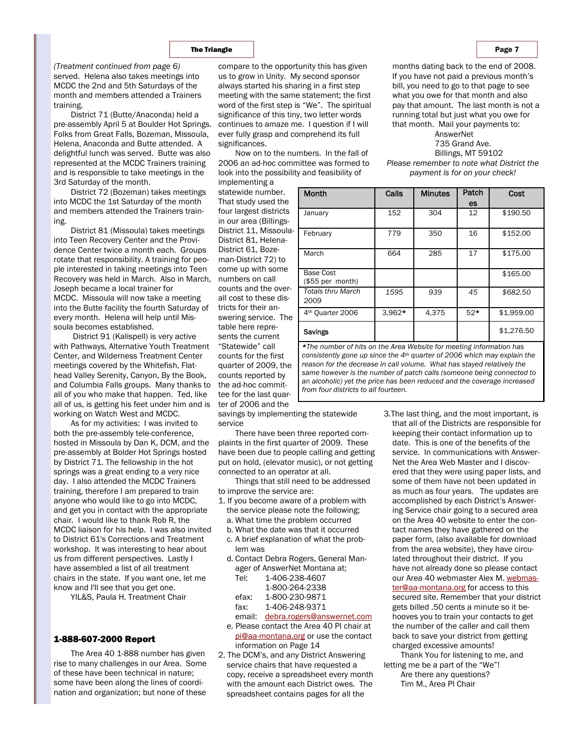served. Helena also takes meetings into MCDC the 2nd and 5th Saturdays of the month and members attended a Trainers training.

District 71 (Butte/Anaconda) held a pre-assembly April 5 at Boulder Hot Springs. Folks from Great Falls, Bozeman, Missoula, Helena, Anaconda and Butte attended. A delightful lunch was served. Butte was also represented at the MCDC Trainers training and is responsible to take meetings in the 3rd Saturday of the month.

District 72 (Bozeman) takes meetings into MCDC the 1st Saturday of the month and members attended the Trainers training.

District 81 (Missoula) takes meetings into Teen Recovery Center and the Providence Center twice a month each. Groups rotate that responsibility. A training for people interested in taking meetings into Teen Recovery was held in March. Also in March, Joseph became a local trainer for MCDC. Missoula will now take a meeting into the Butte facility the fourth Saturday of every month. Helena will help until Missoula becomes established.

 District 91 (Kalispell) is very active with Pathways, Alternative Youth Treatment Center, and Wilderness Treatment Center meetings covered by the Whitefish, Flathead Valley Serenity, Canyon, By the Book, and Columbia Falls groups. Many thanks to all of you who make that happen. Ted, like all of us, is getting his feet under him and is working on Watch West and MCDC.

As for my activities: I was invited to both the pre-assembly tele-conference, hosted in Missoula by Dan K, DCM, and the pre-assembly at Bolder Hot Springs hosted by District 71. The fellowship in the hot springs was a great ending to a very nice day. I also attended the MCDC Trainers training, therefore I am prepared to train anyone who would like to go into MCDC, and get you in contact with the appropriate chair. I would like to thank Rob R, the MCDC liaison for his help. I was also invited to District 61's Corrections and Treatment workshop. It was interesting to hear about us from different perspectives. Lastly I have assembled a list of all treatment chairs in the state. If you want one, let me know and I'll see that you get one.

YIL&S, Paula H. Treatment Chair

#### 1-888-607-2000 Report

The Area 40 1-888 number has given rise to many challenges in our Area. Some of these have been technical in nature; some have been along the lines of coordination and organization; but none of these

*(Treatment continued from page 6)* compare to the opportunity this has given us to grow in Unity. My second sponsor always started his sharing in a first step meeting with the same statement; the first word of the first step is "We". The spiritual significance of this tiny, two letter words continues to amaze me. I question if I will ever fully grasp and comprehend its full significances.

> Now on to the numbers. In the fall of 2006 an ad-hoc committee was formed to look into the possibility and feasibility of implementing a

statewide number. That study used the four largest districts in our area (Billings-District 11, Missoula-District 81, Helena-District 61, Bozeman-District 72) to come up with some numbers on call counts and the overall cost to these districts for their answering service. The table here represents the current "Statewide" call counts for the first quarter of 2009, the counts reported by the ad-hoc committee for the last quarter of 2006 and the

savings by implementing the statewide service

There have been three reported complaints in the first quarter of 2009. These have been due to people calling and getting put on hold, (elevator music), or not getting connected to an operator at all.

Things that still need to be addressed to improve the service are:

- 1. If you become aware of a problem with the service please note the following;
	- a. What time the problem occurred
	- b. What the date was that it occurred
	- c. A brief explanation of what the problem was
	- d. Contact Debra Rogers, General Manager of AnswerNet Montana at;

| Tel:  | 1-406-238-4607 |
|-------|----------------|
|       | 1-800-264-2338 |
| efax. | 1-800-230-9871 |

- fax: 1-406-248-9371
- email: debra.rogers@answernet.com
- e. Please contact the Area 40 PI chair at
- pi@aa-montana.org or use the contact information on Page 14
- 2. The DCM's, and any District Answering service chairs that have requested a copy, receive a spreadsheet every month with the amount each District owes. The spreadsheet contains pages for all the

months dating back to the end of 2008. If you have not paid a previous month's bill, you need to go to that page to see what you owe for that month and also pay that amount. The last month is not a running total but just what you owe for that month. Mail your payments to:

#### AnswerNet 735 Grand Ave. Billings, MT 59102 *Please remember to note what District the payment is for on your check!*

| Month                                | Calls    | <b>Minutes</b> | Patch | Cost       |
|--------------------------------------|----------|----------------|-------|------------|
|                                      |          |                | es    |            |
| January                              | 152      | 304            | 12    | \$190.50   |
| February                             | 779      | 350            | 16    | \$152.00   |
| March                                | 664      | 285            | 17    | \$175.00   |
| <b>Base Cost</b><br>(\$55 per month) |          |                |       | \$165.00   |
| <b>Totals thru March</b><br>2009     | 1595     | 939            | 45    | \$682.50   |
| 4 <sup>th</sup> Quarter 2006         | $3.962*$ | 4.375          | $52*$ | \$1,959.00 |
| Savings                              |          |                |       | \$1,276.50 |

*\*The number of hits on the Area Website for meeting information has consistently gone up since the 4th quarter of 2006 which may explain the reason for the decrease in call volume. What has stayed relatively the same however is the number of patch calls (someone being connected to an alcoholic) yet the price has been reduced and the coverage increased from four districts to all fourteen.* 

> 3*.*The last thing, and the most important, is that all of the Districts are responsible for keeping their contact information up to date. This is one of the benefits of the service. In communications with Answer-Net the Area Web Master and I discovered that they were using paper lists, and some of them have not been updated in as much as four years. The updates are accomplished by each District's Answering Service chair going to a secured area on the Area 40 website to enter the contact names they have gathered on the paper form, (also available for download from the area website), they have circulated throughout their district. If you have not already done so please contact our Area 40 webmaster Alex M. webmaster@aa-montana.org for access to this secured site. Remember that your district gets billed .50 cents a minute so it behooves you to train your contacts to get the number of the caller and call them back to save your district from getting charged excessive amounts!

Thank You for listening to me, and letting me be a part of the "We"! Are there any questions?

Tim M., Area PI Chair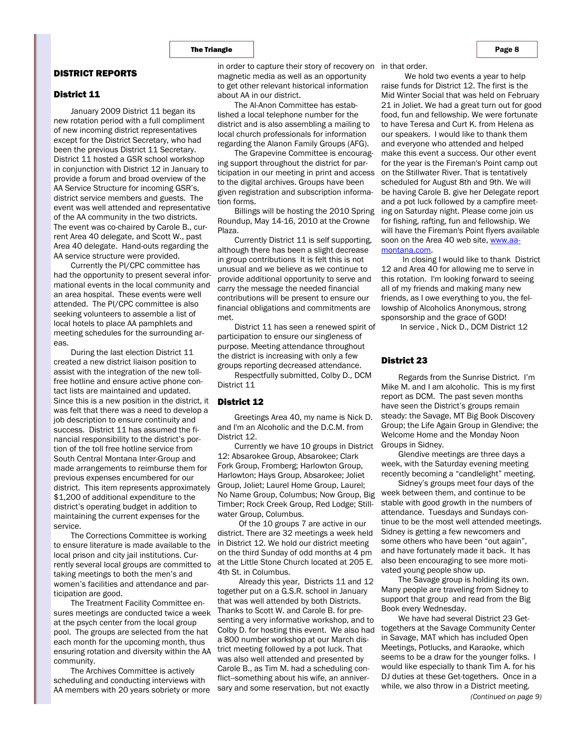# DISTRICT REPORTS

#### District 11

January 2009 District 11 began its new rotation period with a full compliment of new incoming district representatives except for the District Secretary, who had been the previous District 11 Secretary. District 11 hosted a GSR school workshop in conjunction with District 12 in January to provide a forum and broad overview of the AA Service Structure for incoming GSR's, district service members and guests. The event was well attended and representative of the AA community in the two districts. The event was co-chaired by Carole B., current Area 40 delegate, and Scott W., past Area 40 delegate. Hand-outs regarding the AA service structure were provided.

Currently the PI/CPC committee has had the opportunity to present several informational events in the local community and an area hospital. These events were well attended. The PI/CPC committee is also seeking volunteers to assemble a list of local hotels to place AA pamphlets and meeting schedules for the surrounding areas.

During the last election District 11 created a new district liaison position to assist with the integration of the new tollfree hotline and ensure active phone contact lists are maintained and updated. Since this is a new position in the district, it was felt that there was a need to develop a job description to ensure continuity and success. District 11 has assumed the financial responsibility to the district's portion of the toll free hotline service from South Central Montana Inter-Group and made arrangements to reimburse them for previous expenses encumbered for our district. This item represents approximately \$1,200 of additional expenditure to the district's operating budget in addition to maintaining the current expenses for the service.

The Corrections Committee is working to ensure literature is made available to the local prison and city jail institutions. Currently several local groups are committed to taking meetings to both the men's and women's facilities and attendance and participation are good.

The Treatment Facility Committee ensures meetings are conducted twice a week at the psych center from the local group pool. The groups are selected from the hat each month for the upcoming month, thus ensuring rotation and diversity within the AA community.

The Archives Committee is actively scheduling and conducting interviews with AA members with 20 years sobriety or more

in order to capture their story of recovery on in that order. magnetic media as well as an opportunity to get other relevant historical information about AA in our district.

The Al-Anon Committee has established a local telephone number for the district and is also assembling a mailing to local church professionals for information regarding the Alanon Family Groups (AFG).

The Grapevine Committee is encouraging support throughout the district for participation in our meeting in print and access to the digital archives. Groups have been given registration and subscription information forms.

Billings will be hosting the 2010 Spring Roundup, May 14-16, 2010 at the Crowne Plaza.

Currently District 11 is self supporting, although there has been a slight decrease in group contributions It is felt this is not unusual and we believe as we continue to provide additional opportunity to serve and carry the message the needed financial contributions will be present to ensure our financial obligations and commitments are met.

District 11 has seen a renewed spirit of participation to ensure our singleness of purpose. Meeting attendance throughout the district is increasing with only a few groups reporting decreased attendance.

Respectfully submitted, Colby D., DCM District 11

# District 12

Greetings Area 40, my name is Nick D. and I'm an Alcoholic and the D.C.M. from District 12.

Currently we have 10 groups in District 12: Absarokee Group, Absarokee; Clark Fork Group, Fromberg; Harlowton Group, Harlowton; Hays Group, Absarokee; Joliet Group, Joliet; Laurel Home Group, Laurel; No Name Group, Columbus; Now Group, Big Timber; Rock Creek Group, Red Lodge; Stillwater Group, Columbus.

 Of the 10 groups 7 are active in our district. There are 32 meetings a week held in District 12. We hold our district meeting on the third Sunday of odd months at 4 pm at the Little Stone Church located at 205 E. 4th St. in Columbus.

 Already this year, Districts 11 and 12 together put on a G.S.R. school in January that was well attended by both Districts. Thanks to Scott W. and Carole B. for presenting a very informative workshop, and to Colby D. for hosting this event. We also had a 800 number workshop at our March district meeting followed by a pot luck. That was also well attended and presented by Carole B., as Tim M. had a scheduling conflict--something about his wife, an anniversary and some reservation, but not exactly

 We hold two events a year to help raise funds for District 12. The first is the Mid Winter Social that was held on February 21 in Joliet. We had a great turn out for good food, fun and fellowship. We were fortunate to have Teresa and Curt K. from Helena as our speakers. I would like to thank them and everyone who attended and helped make this event a success. Our other event for the year is the Fireman's Point camp out on the Stillwater River. That is tentatively scheduled for August 8th and 9th. We will be having Carole B. give her Delegate report and a pot luck followed by a campfire meeting on Saturday night. Please come join us for fishing, rafting, fun and fellowship. We will have the Fireman's Point flyers available soon on the Area 40 web site, www.aamontana.com.

 In closing I would like to thank District 12 and Area 40 for allowing me to serve in this rotation. I'm looking forward to seeing all of my friends and making many new friends, as I owe everything to you, the fellowship of Alcoholics Anonymous, strong sponsorship and the grace of GOD!

In service , Nick D., DCM District 12

## District 23

Regards from the Sunrise District. I'm Mike M. and I am alcoholic. This is my first report as DCM. The past seven months have seen the District's groups remain steady: the Savage, MT Big Book Discovery Group; the Life Again Group in Glendive; the Welcome Home and the Monday Noon Groups in Sidney.

Glendive meetings are three days a week, with the Saturday evening meeting recently becoming a "candlelight" meeting.

Sidney's groups meet four days of the week between them, and continue to be stable with good growth in the numbers of attendance. Tuesdays and Sundays continue to be the most well attended meetings. Sidney is getting a few newcomers and some others who have been "out again", and have fortunately made it back. It has also been encouraging to see more motivated young people show up.

The Savage group is holding its own. Many people are traveling from Sidney to support that group and read from the Big Book every Wednesday.

We have had several District 23 Gettogethers at the Savage Community Center in Savage, MAT which has included Open Meetings, Potlucks, and Karaoke, which seems to be a draw for the younger folks. I would like especially to thank Tim A. for his DJ duties at these Get-togethers. Once in a while, we also throw in a District meeting. *(Continued on page 9)*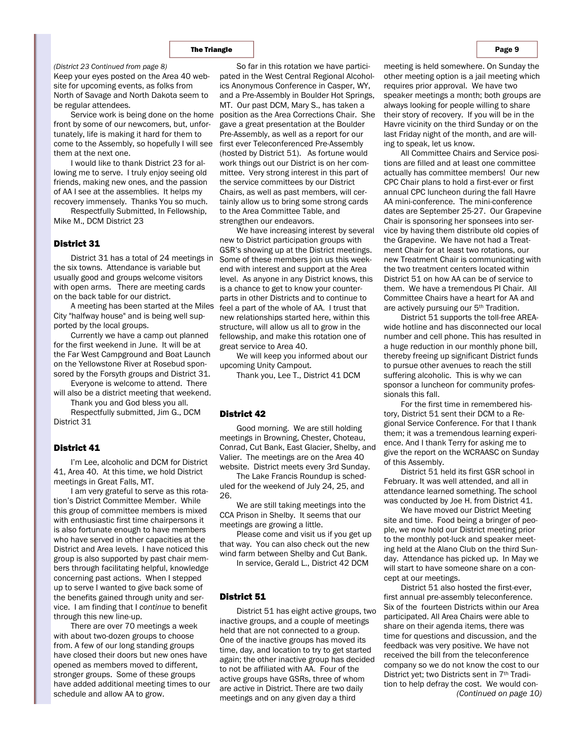Keep your eyes posted on the Area 40 website for upcoming events, as folks from North of Savage and North Dakota seem to be regular attendees. *(District 23 Continued from page 8)* 

Service work is being done on the home front by some of our newcomers, but, unfortunately, life is making it hard for them to come to the Assembly, so hopefully I will see first ever Teleconferenced Pre-Assembly them at the next one.

I would like to thank District 23 for allowing me to serve. I truly enjoy seeing old friends, making new ones, and the passion of AA I see at the assemblies. It helps my recovery immensely. Thanks You so much.

Respectfully Submitted, In Fellowship, Mike M., DCM District 23

#### District 31

District 31 has a total of 24 meetings in the six towns. Attendance is variable but usually good and groups welcome visitors with open arms. There are meeting cards on the back table for our district.

A meeting has been started at the Miles City "halfway house" and is being well supported by the local groups.

Currently we have a camp out planned for the first weekend in June. It will be at the Far West Campground and Boat Launch on the Yellowstone River at Rosebud sponsored by the Forsyth groups and District 31.

Everyone is welcome to attend. There will also be a district meeting that weekend.

Thank you and God bless you all. Respectfully submitted, Jim G., DCM District 31

# District 41

I'm Lee, alcoholic and DCM for District 41, Area 40. At this time, we hold District meetings in Great Falls, MT.

I am very grateful to serve as this rotation's District Committee Member. While this group of committee members is mixed with enthusiastic first time chairpersons it is also fortunate enough to have members who have served in other capacities at the District and Area levels. I have noticed this group is also supported by past chair members through facilitating helpful, knowledge concerning past actions. When I stepped up to serve I wanted to give back some of the benefits gained through unity and service. I am finding that I *continue* to benefit through this new line-up.

There are over 70 meetings a week with about two-dozen groups to choose from. A few of our long standing groups have closed their doors but new ones have opened as members moved to different, stronger groups. Some of these groups have added additional meeting times to our schedule and allow AA to grow.

So far in this rotation we have participated in the West Central Regional Alcoholics Anonymous Conference in Casper, WY, and a Pre-Assembly in Boulder Hot Springs, MT. Our past DCM, Mary S., has taken a position as the Area Corrections Chair. She gave a great presentation at the Boulder Pre-Assembly, as well as a report for our (hosted by District 51). As fortune would work things out our District is on her committee. Very strong interest in this part of the service committees by our District Chairs, as well as past members, will certainly allow us to bring some strong cards to the Area Committee Table, and strengthen our endeavors.

We have increasing interest by several new to District participation groups with GSR's showing up at the District meetings. Some of these members join us this weekend with interest and support at the Area level. As anyone in any District knows, this is a chance to get to know your counterparts in other Districts and to continue to feel a part of the whole of AA. I trust that new relationships started here, within this structure, will allow us all to grow in the fellowship, and make this rotation one of great service to Area 40.

We will keep you informed about our upcoming Unity Campout.

Thank you, Lee T., District 41 DCM

#### District 42

Good morning. We are still holding meetings in Browning, Chester, Choteau, Conrad, Cut Bank, East Glacier, Shelby, and Valier. The meetings are on the Area 40 website. District meets every 3rd Sunday.

The Lake Francis Roundup is scheduled for the weekend of July 24, 25, and 26.

We are still taking meetings into the CCA Prison in Shelby. It seems that our meetings are growing a little.

Please come and visit us if you get up that way. You can also check out the new wind farm between Shelby and Cut Bank.

In service, Gerald L., District 42 DCM

#### District 51

District 51 has eight active groups, two inactive groups, and a couple of meetings held that are not connected to a group. One of the inactive groups has moved its time, day, and location to try to get started again; the other inactive group has decided to not be affiliated with AA. Four of the active groups have GSRs, three of whom are active in District. There are two daily meetings and on any given day a third

meeting is held somewhere. On Sunday the other meeting option is a jail meeting which requires prior approval. We have two speaker meetings a month; both groups are always looking for people willing to share their story of recovery. If you will be in the Havre vicinity on the third Sunday or on the last Friday night of the month, and are willing to speak, let us know.

All Committee Chairs and Service positions are filled and at least one committee actually has committee members! Our new CPC Chair plans to hold a first-ever or first annual CPC luncheon during the fall Havre AA mini-conference. The mini-conference dates are September 25-27. Our Grapevine Chair is sponsoring her sponsees into service by having them distribute old copies of the Grapevine. We have not had a Treatment Chair for at least two rotations, our new Treatment Chair is communicating with the two treatment centers located within District 51 on how AA can be of service to them. We have a tremendous PI Chair. All Committee Chairs have a heart for AA and are actively pursuing our 5<sup>th</sup> Tradition.

District 51 supports the toll-free AREAwide hotline and has disconnected our local number and cell phone. This has resulted in a huge reduction in our monthly phone bill, thereby freeing up significant District funds to pursue other avenues to reach the still suffering alcoholic. This is why we can sponsor a luncheon for community professionals this fall.

For the first time in remembered history, District 51 sent their DCM to a Regional Service Conference. For that I thank them; it was a tremendous learning experience. And I thank Terry for asking me to give the report on the WCRAASC on Sunday of this Assembly.

District 51 held its first GSR school in February. It was well attended, and all in attendance learned something. The school was conducted by Joe H. from District 41.

We have moved our District Meeting site and time. Food being a bringer of people, we now hold our District meeting prior to the monthly pot-luck and speaker meeting held at the Alano Club on the third Sunday. Attendance has picked up. In May we will start to have someone share on a concept at our meetings.

District 51 also hosted the first-ever, first annual pre-assembly teleconference. Six of the fourteen Districts within our Area participated. All Area Chairs were able to share on their agenda items, there was time for questions and discussion, and the feedback was very positive. We have not received the bill from the teleconference company so we do not know the cost to our District yet; two Districts sent in 7th Tradition to help defray the cost. We would con- *(Continued on page 10)*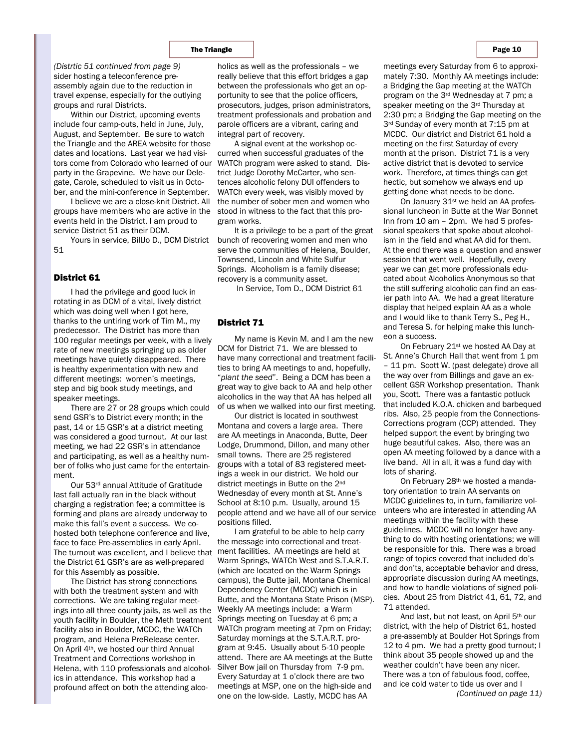sider hosting a teleconference preassembly again due to the reduction in travel expense, especially for the outlying groups and rural Districts. *(Distrtic 51 continued from page 9)* holics as well as the professionals – we

Within our District, upcoming events include four camp-outs, held in June, July, August, and September. Be sure to watch the Triangle and the AREA website for those dates and locations. Last year we had visitors come from Colorado who learned of our party in the Grapevine. We have our Delegate, Carole, scheduled to visit us in October, and the mini-conference in September.

I believe we are a close-knit District. All groups have members who are active in the stood in witness to the fact that this proevents held in the District. I am proud to service District 51 as their DCM.

Yours in service, BillJo D., DCM District 51

#### District 61

I had the privilege and good luck in rotating in as DCM of a vital, lively district which was doing well when I got here, thanks to the untiring work of Tim M., my predecessor. The District has more than 100 regular meetings per week, with a lively rate of new meetings springing up as older meetings have quietly disappeared. There is healthy experimentation with new and different meetings: women's meetings, step and big book study meetings, and speaker meetings.

There are 27 or 28 groups which could send GSR's to District every month; in the past, 14 or 15 GSR's at a district meeting was considered a good turnout. At our last meeting, we had 22 GSR's in attendance and participating, as well as a healthy number of folks who just came for the entertainment.

Our 53rd annual Attitude of Gratitude last fall actually ran in the black without charging a registration fee; a committee is forming and plans are already underway to make this fall's event a success. We cohosted both telephone conference and live, face to face Pre-assemblies in early April. The turnout was excellent, and I believe that ment facilities. AA meetings are held at the District 61 GSR's are as well-prepared for this Assembly as possible.

The District has strong connections with both the treatment system and with corrections. We are taking regular meetings into all three county jails, as well as the youth facility in Boulder, the Meth treatment facility also in Boulder, MCDC, the WATCh program, and Helena PreRelease center. On April 4th, we hosted our third Annual Treatment and Corrections workshop in Helena, with 110 professionals and alcoholics in attendance. This workshop had a profound affect on both the attending alco-

really believe that this effort bridges a gap between the professionals who get an opportunity to see that the police officers, prosecutors, judges, prison administrators, treatment professionals and probation and parole officers are a vibrant, caring and integral part of recovery.

A signal event at the workshop occurred when successful graduates of the WATCh program were asked to stand. District Judge Dorothy McCarter, who sentences alcoholic felony DUI offenders to WATCh every week, was visibly moved by the number of sober men and women who gram works.

It is a privilege to be a part of the great bunch of recovering women and men who serve the communities of Helena, Boulder, Townsend, Lincoln and White Sulfur Springs. Alcoholism is a family disease; recovery is a community asset.

In Service, Tom D., DCM District 61

### District 71

My name is Kevin M. and I am the new DCM for District 71. We are blessed to have many correctional and treatment facilities to bring AA meetings to and, hopefully, "*plant the seed*". Being a DCM has been a great way to give back to AA and help other alcoholics in the way that AA has helped all of us when we walked into our first meeting.

Our district is located in southwest Montana and covers a large area. There are AA meetings in Anaconda, Butte, Deer Lodge, Drummond, Dillon, and many other small towns. There are 25 registered groups with a total of 83 registered meetings a week in our district. We hold our district meetings in Butte on the 2<sup>nd</sup> Wednesday of every month at St. Anne's School at 8:10 p.m. Usually, around 15 people attend and we have all of our service positions filled.

I am grateful to be able to help carry the message into correctional and treat-Warm Springs, WATCh West and S.T.A.R.T. (which are located on the Warm Springs campus), the Butte jail, Montana Chemical Dependency Center (MCDC) which is in Butte, and the Montana State Prison (MSP). Weekly AA meetings include: a Warm Springs meeting on Tuesday at 6 pm; a WATCh program meeting at 7pm on Friday; Saturday mornings at the S.T.A.R.T. program at 9:45. Usually about 5-10 people attend. There are AA meetings at the Butte Silver Bow jail on Thursday from 7-9 pm. Every Saturday at 1 o'clock there are two meetings at MSP, one on the high-side and one on the low-side. Lastly, MCDC has AA

meetings every Saturday from 6 to approximately 7:30. Monthly AA meetings include: a Bridging the Gap meeting at the WATCh program on the 3rd Wednesday at 7 pm; a speaker meeting on the 3rd Thursday at 2:30 pm; a Bridging the Gap meeting on the 3rd Sunday of every month at 7:15 pm at MCDC. Our district and District 61 hold a meeting on the first Saturday of every month at the prison. District 71 is a very active district that is devoted to service work. Therefore, at times things can get hectic, but somehow we always end up getting done what needs to be done.

On January 31st we held an AA professional luncheon in Butte at the War Bonnet Inn from 10 am – 2pm. We had 5 professional speakers that spoke about alcoholism in the field and what AA did for them. At the end there was a question and answer session that went well. Hopefully, every year we can get more professionals educated about Alcoholics Anonymous so that the still suffering alcoholic can find an easier path into AA. We had a great literature display that helped explain AA as a whole and I would like to thank Terry S., Peg H., and Teresa S. for helping make this luncheon a success.

On February 21st we hosted AA Day at St. Anne's Church Hall that went from 1 pm – 11 pm. Scott W. (past delegate) drove all the way over from Billings and gave an excellent GSR Workshop presentation. Thank you, Scott. There was a fantastic potluck that included K.O.A. chicken and barbequed ribs. Also, 25 people from the Connections-Corrections program (CCP) attended. They helped support the event by bringing two huge beautiful cakes. Also, there was an open AA meeting followed by a dance with a live band. All in all, it was a fund day with lots of sharing.

On February 28th we hosted a mandatory orientation to train AA servants on MCDC guidelines to, in turn, familiarize volunteers who are interested in attending AA meetings within the facility with these guidelines. MCDC will no longer have anything to do with hosting orientations; we will be responsible for this. There was a broad range of topics covered that included do's and don'ts, acceptable behavior and dress, appropriate discussion during AA meetings, and how to handle violations of signed policies. About 25 from District 41, 61, 72, and 71 attended.

And last, but not least, on April 5th our district, with the help of District 61, hosted a pre-assembly at Boulder Hot Springs from 12 to 4 pm. We had a pretty good turnout; I think about 35 people showed up and the weather couldn't have been any nicer. There was a ton of fabulous food, coffee, and ice cold water to tide us over and I

*(Continued on page 11)*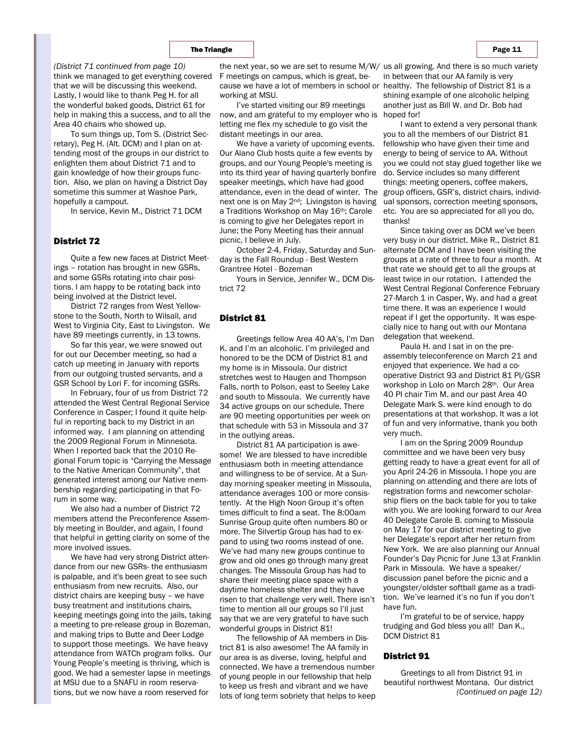think we managed to get everything covered that we will be discussing this weekend. Lastly, I would like to thank Peg H. for all the wonderful baked goods, District 61 for help in making this a success, and to all the Area 40 chairs who showed up.

To sum things up, Tom S. (District Secretary), Peg H. (Alt. DCM) and I plan on attending most of the groups in our district to enlighten them about District 71 and to gain knowledge of how their groups function. Also, we plan on having a District Day sometime this summer at Washoe Park, hopefully a campout.

In service, Kevin M., District 71 DCM

#### District 72

Quite a few new faces at District Meetings – rotation has brought in new GSRs, and some GSRs rotating into chair positions. I am happy to be rotating back into being involved at the District level.

District 72 ranges from West Yellowstone to the South, North to Wilsall, and West to Virginia City, East to Livingston. We have 89 meetings currently, in 13 towns.

So far this year, we were snowed out for out our December meeting, so had a catch up meeting in January with reports from our outgoing trusted servants, and a GSR School by Lori F. for incoming GSRs.

In February, four of us from District 72 attended the West Central Regional Service Conference in Casper; I found it quite helpful in reporting back to my District in an informed way. I am planning on attending the 2009 Regional Forum in Minnesota. When I reported back that the 2010 Regional Forum topic is "Carrying the Message to the Native American Community", that generated interest among our Native membership regarding participating in that Forum in some way.

We also had a number of District 72 members attend the Preconference Assembly meeting in Boulder, and again, I found that helpful in getting clarity on some of the more involved issues.

We have had very strong District attendance from our new GSRs- the enthusiasm is palpable, and it's been great to see such enthusiasm from new recruits. Also, our district chairs are keeping busy – we have busy treatment and institutions chairs, keeping meetings going into the jails, taking a meeting to pre-release group in Bozeman, and making trips to Butte and Deer Lodge to support those meetings. We have heavy attendance from WATCh program folks. Our Young People's meeting is thriving, which is good. We had a semester lapse in meetings at MSU due to a SNAFU in room reservations, but we now have a room reserved for

(District 71 continued from page 10) be the next year, so we are set to resume M/W/ us all growing. And there is so much variety cause we have a lot of members in school or healthy. The fellowship of District 81 is a F meetings on campus, which is great, beworking at MSU.

> now, and am grateful to my employer who is hoped for! I've started visiting our 89 meetings letting me flex my schedule to go visit the distant meetings in our area.

We have a variety of upcoming events. Our Alano Club hosts quite a few events by groups, and our Young People's meeting is into its third year of having quarterly bonfire speaker meetings, which have had good attendance, even in the dead of winter. The next one is on May 2nd; Livingston is having a Traditions Workshop on May 16th; Carole is coming to give her Delegates report in June; the Pony Meeting has their annual picnic, I believe in July.

October 2-4, Friday, Saturday and Sunday is the Fall Roundup - Best Western Grantree Hotel - Bozeman

Yours in Service, Jennifer W., DCM District 72

### District 81

Greetings fellow Area 40 AA's, I'm Dan K. and I'm an alcoholic. I'm privileged and honored to be the DCM of District 81 and my home is in Missoula. Our district stretches west to Haugen and Thompson Falls, north to Polson, east to Seeley Lake and south to Missoula. We currently have 34 active groups on our schedule. There are 90 meeting opportunities per week on that schedule with 53 in Missoula and 37 in the outlying areas.

District 81 AA participation is awesome! We are blessed to have incredible enthusiasm both in meeting attendance and willingness to be of service. At a Sunday morning speaker meeting in Missoula, attendance averages 100 or more consistently. At the High Noon Group it's often times difficult to find a seat. The 8:00am Sunrise Group quite often numbers 80 or more. The Silvertip Group has had to expand to using two rooms instead of one. We've had many new groups continue to grow and old ones go through many great changes. The Missoula Group has had to share their meeting place space with a daytime homeless shelter and they have risen to that challenge very well. There isn't time to mention all our groups so I'll just say that we are very grateful to have such wonderful groups in District 81!

The fellowship of AA members in District 81 is also awesome! The AA family in our area is as diverse, loving, helpful and connected. We have a tremendous number of young people in our fellowship that help to keep us fresh and vibrant and we have lots of long term sobriety that helps to keep in between that our AA family is very shining example of one alcoholic helping another just as Bill W. and Dr. Bob had

I want to extend a very personal thank you to all the members of our District 81 fellowship who have given their time and energy to being of service to AA. Without you we could not stay glued together like we do. Service includes so many different things: meeting openers, coffee makers, group officers, GSR's, district chairs, individual sponsors, correction meeting sponsors, etc. You are so appreciated for all you do, thanks!

Since taking over as DCM we've been very busy in our district. Mike R., District 81 alternate DCM and I have been visiting the groups at a rate of three to four a month. At that rate we should get to all the groups at least twice in our rotation. I attended the West Central Regional Conference February 27-March 1 in Casper, Wy. and had a great time there. It was an experience I would repeat if I get the opportunity. It was especially nice to hang out with our Montana delegation that weekend.

Paula H. and I sat in on the preassembly teleconference on March 21 and enjoyed that experience. We had a cooperative District 93 and District 81 PI/GSR workshop in Lolo on March 28th. Our Area 40 PI chair Tim M. and our past Area 40 Delegate Mark S. were kind enough to do presentations at that workshop. It was a lot of fun and very informative, thank you both very much.

I am on the Spring 2009 Roundup committee and we have been very busy getting ready to have a great event for all of you April 24-26 in Missoula. I hope you are planning on attending and there are lots of registration forms and newcomer scholarship fliers on the back table for you to take with you. We are looking forward to our Area 40 Delegate Carole B. coming to Missoula on May 17 for our district meeting to give her Delegate's report after her return from New York. We are also planning our Annual Founder's Day Picnic for June 13 at Franklin Park in Missoula. We have a speaker/ discussion panel before the picnic and a youngster/oldster softball game as a tradition. We've learned it's no fun if you don't have fun.

I'm grateful to be of service, happy trudging and God bless you all! Dan K., DCM District 81

### District 91

Greetings to all from District 91 in beautiful northwest Montana. Our district *(Continued on page 12)*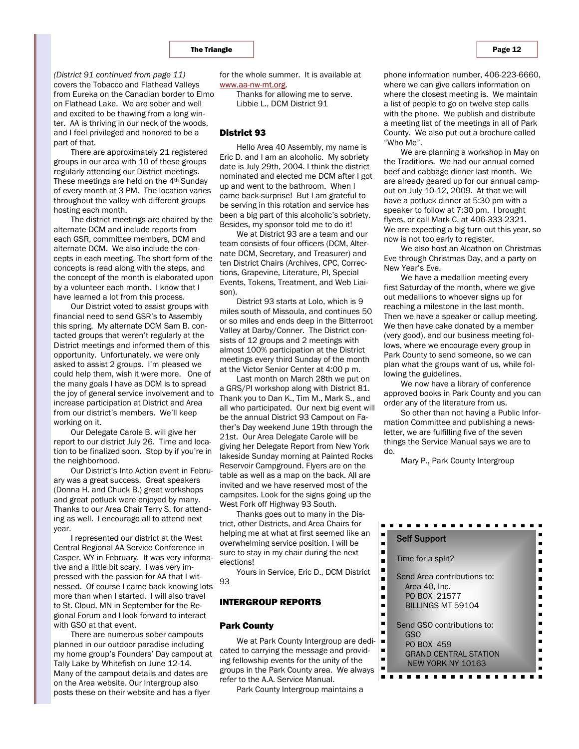covers the Tobacco and Flathead Valleys from Eureka on the Canadian border to Elmo on Flathead Lake. We are sober and well and excited to be thawing from a long winter. AA is thriving in our neck of the woods, and I feel privileged and honored to be a part of that. *(District 91 continued from page 11)* 

There are approximately 21 registered groups in our area with 10 of these groups regularly attending our District meetings. These meetings are held on the 4th Sunday of every month at 3 PM. The location varies throughout the valley with different groups hosting each month.

The district meetings are chaired by the alternate DCM and include reports from each GSR, committee members, DCM and alternate DCM. We also include the concepts in each meeting. The short form of the concepts is read along with the steps, and the concept of the month is elaborated upon by a volunteer each month. I know that I have learned a lot from this process.

Our District voted to assist groups with financial need to send GSR's to Assembly this spring. My alternate DCM Sam B. contacted groups that weren't regularly at the District meetings and informed them of this opportunity. Unfortunately, we were only asked to assist 2 groups. I'm pleased we could help them, wish it were more. One of the many goals I have as DCM is to spread the joy of general service involvement and to increase participation at District and Area from our district's members. We'll keep working on it.

Our Delegate Carole B. will give her report to our district July 26. Time and location to be finalized soon. Stop by if you're in the neighborhood.

Our District's Into Action event in February was a great success. Great speakers (Donna H. and Chuck B.) great workshops and great potluck were enjoyed by many. Thanks to our Area Chair Terry S. for attending as well. I encourage all to attend next year.

I represented our district at the West Central Regional AA Service Conference in Casper, WY in February. It was very informative and a little bit scary. I was very impressed with the passion for AA that I witnessed. Of course I came back knowing lots more than when I started. I will also travel to St. Cloud, MN in September for the Regional Forum and I look forward to interact with GSO at that event.

There are numerous sober campouts planned in our outdoor paradise including my home group's Founders' Day campout at Tally Lake by Whitefish on June 12-14. Many of the campout details and dates are on the Area website. Our Intergroup also posts these on their website and has a flyer

for the whole summer. It is available at www.aa-nw-mt.org.

> Thanks for allowing me to serve. Libbie L., DCM District 91

#### District 93

Hello Area 40 Assembly, my name is Eric D. and I am an alcoholic. My sobriety date is July 29th, 2004. I think the district nominated and elected me DCM after I got up and went to the bathroom. When I came back-surprise! But I am grateful to be serving in this rotation and service has been a big part of this alcoholic's sobriety. Besides, my sponsor told me to do it!

We at District 93 are a team and our team consists of four officers (DCM, Alternate DCM, Secretary, and Treasurer) and ten District Chairs (Archives, CPC, Corrections, Grapevine, Literature, PI, Special Events, Tokens, Treatment, and Web Liaison).

District 93 starts at Lolo, which is 9 miles south of Missoula, and continues 50 or so miles and ends deep in the Bitterroot Valley at Darby/Conner. The District consists of 12 groups and 2 meetings with almost 100% participation at the District meetings every third Sunday of the month at the Victor Senior Center at 4:00 p m.

Last month on March 28th we put on a GRS/PI workshop along with District 81. Thank you to Dan K., Tim M., Mark S., and all who participated. Our next big event will be the annual District 93 Campout on Father's Day weekend June 19th through the 21st. Our Area Delegate Carole will be giving her Delegate Report from New York lakeside Sunday morning at Painted Rocks Reservoir Campground. Flyers are on the table as well as a map on the back. All are invited and we have reserved most of the campsites. Look for the signs going up the West Fork off Highway 93 South.

Thanks goes out to many in the District, other Districts, and Area Chairs for helping me at what at first seemed like an overwhelming service position. I will be sure to stay in my chair during the next elections!

Yours in Service, Eric D., DCM District 93

# INTERGROUP REPORTS

#### Park County

We at Park County Intergroup are dedicated to carrying the message and providing fellowship events for the unity of the groups in the Park County area. We always refer to the A.A. Service Manual.

Park County Intergroup maintains a

phone information number, 406-223-6660, where we can give callers information on where the closest meeting is. We maintain a list of people to go on twelve step calls with the phone. We publish and distribute a meeting list of the meetings in all of Park County. We also put out a brochure called "Who Me".

We are planning a workshop in May on the Traditions. We had our annual corned beef and cabbage dinner last month. We are already geared up for our annual campout on July 10-12, 2009. At that we will have a potluck dinner at 5:30 pm with a speaker to follow at 7:30 pm. I brought flyers, or call Mark C. at 406-333-2321. We are expecting a big turn out this year, so now is not too early to register.

We also host an Alcathon on Christmas Eve through Christmas Day, and a party on New Year's Eve.

We have a medallion meeting every first Saturday of the month, where we give out medallions to whoever signs up for reaching a milestone in the last month. Then we have a speaker or callup meeting. We then have cake donated by a member (very good), and our business meeting follows, where we encourage every group in Park County to send someone, so we can plan what the groups want of us, while following the guidelines.

We now have a library of conference approved books in Park County and you can order any of the literature from us.

So other than not having a Public Information Committee and publishing a newsletter, we are fulfilling five of the seven things the Service Manual says we are to do.

Mary P., Park County Intergroup

 $\blacksquare$  $\blacksquare$ 

 $\blacksquare$ 

 $\blacksquare$ 

| <b>Self Support</b>                                                                                         |  |
|-------------------------------------------------------------------------------------------------------------|--|
| Time for a split?                                                                                           |  |
| Send Area contributions to:<br>Area 40, Inc.<br>PO BOX 21577<br><b>BILLINGS MT 59104</b>                    |  |
| Send GSO contributions to:<br><b>GSO</b><br>PO BOX 459<br><b>GRAND CENTRAL STATION</b><br>NEW YORK NY 10163 |  |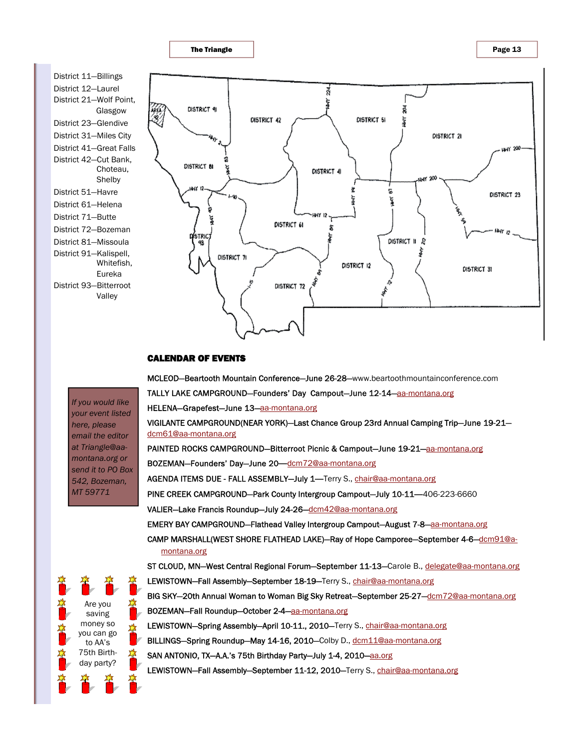

# CALENDAR OF EVENTS

MCLEOD—Beartooth Mountain Conference—June 26-28—www.beartoothmountainconference.com TALLY LAKE CAMPGROUND-Founders' Day Campout-June 12-14-aa-montana.org HELENA—Grapefest—June 13—aa-montana.org VIGILANTE CAMPGROUND(NEAR YORK)—Last Chance Group 23rd Annual Camping Trip—June 19-21 dcm61@aa-montana.org PAINTED ROCKS CAMPGROUND-Bitterroot Picnic & Campout-June 19-21-aa-montana.org BOZEMAN—Founders' Day—June 20**—**dcm72@aa-montana.org AGENDA ITEMS DUE - FALL ASSEMBLY—July 1**—**Terry S., chair@aa-montana.org PINE CREEK CAMPGROUND—Park County Intergroup Campout—July 10-11**—**406-223-6660 VALIER—Lake Francis Roundup—July 24-26—dcm42@aa-montana.org EMERY BAY CAMPGROUND-Flathead Valley Intergroup Campout-August 7-8-aa-montana.org CAMP MARSHALL(WEST SHORE FLATHEAD LAKE)—Ray of Hope Camporee—September 4-6— $\underline{\mathrm{dcm91@a}}$ montana.org ST CLOUD, MN-West Central Regional Forum-September 11-13-Carole B., delegate@aa-montana.org LEWISTOWN-Fall Assembly-September 18-19-Terry S., chair@aa-montana.org BIG SKY-20th Annual Woman to Woman Big Sky Retreat-September 25-27-dcm72@aa-montana.org BOZEMAN—Fall Roundup—October 2-4—aa-montana.org LEWISTOWN-Spring Assembly-April 10-11., 2010-Terry S., chair@aa-montana.org BILLINGS-Spring Roundup-May 14-16, 2010-Colby D., dcm11@aa-montana.org

- SAN ANTONIO, TX-A.A.'s 75th Birthday Party-July 1-4, 2010-aa.org
	- LEWISTOWN-Fall Assembly-September 11-12, 2010-Terry S., chair@aa-montana.org

*If you would like your event listed here, please email the editor at Triangle@aamontana.org or send it to PO Box 542, Bozeman, MT 59771*

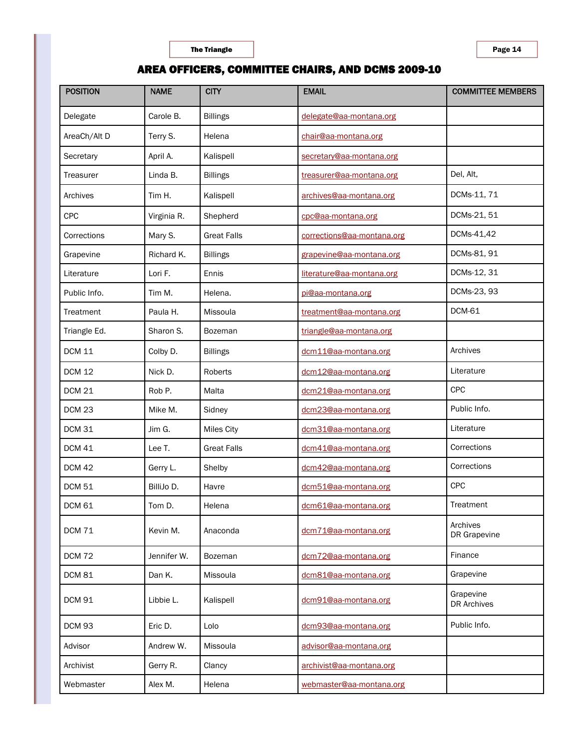# AREA OFFICERS, COMMITTEE CHAIRS, AND DCMS 2009-10

| <b>POSITION</b> | <b>NAME</b> | <b>CITY</b>        | <b>EMAIL</b>               | <b>COMMITTEE MEMBERS</b>        |
|-----------------|-------------|--------------------|----------------------------|---------------------------------|
| Delegate        | Carole B.   | <b>Billings</b>    | delegate@aa-montana.org    |                                 |
| AreaCh/Alt D    | Terry S.    | Helena             | chair@aa-montana.org       |                                 |
| Secretary       | April A.    | Kalispell          | secretary@aa-montana.org   |                                 |
| Treasurer       | Linda B.    | <b>Billings</b>    | treasurer@aa-montana.org   | Del, Alt,                       |
| Archives        | Tim H.      | Kalispell          | archives@aa-montana.org    | DCMs-11, 71                     |
| <b>CPC</b>      | Virginia R. | Shepherd           | cpc@aa-montana.org         | DCMs-21, 51                     |
| Corrections     | Mary S.     | <b>Great Falls</b> | corrections@aa-montana.org | DCMs-41,42                      |
| Grapevine       | Richard K.  | <b>Billings</b>    | grapevine@aa-montana.org   | DCMs-81, 91                     |
| Literature      | Lori F.     | Ennis              | literature@aa-montana.org  | DCMs-12, 31                     |
| Public Info.    | Tim M.      | Helena.            | pi@aa-montana.org          | DCMs-23, 93                     |
| Treatment       | Paula H.    | Missoula           | treatment@aa-montana.org   | <b>DCM-61</b>                   |
| Triangle Ed.    | Sharon S.   | Bozeman            | triangle@aa-montana.org    |                                 |
| <b>DCM 11</b>   | Colby D.    | <b>Billings</b>    | dcm11@aa-montana.org       | Archives                        |
| <b>DCM 12</b>   | Nick D.     | Roberts            | dcm12@aa-montana.org       | Literature                      |
| <b>DCM 21</b>   | Rob P.      | Malta              | dcm21@aa-montana.org       | CPC                             |
| <b>DCM 23</b>   | Mike M.     | Sidney             | dcm23@aa-montana.org       | Public Info.                    |
| <b>DCM 31</b>   | Jim G.      | Miles City         | dcm31@aa-montana.org       | Literature                      |
| <b>DCM 41</b>   | Lee T.      | <b>Great Falls</b> | dcm41@aa-montana.org       | Corrections                     |
| <b>DCM 42</b>   | Gerry L.    | Shelby             | dcm42@aa-montana.org       | Corrections                     |
| <b>DCM 51</b>   | BilliJo D.  | Havre              | dcm51@aa-montana.org       | <b>CPC</b>                      |
| <b>DCM 61</b>   | Tom D.      | Helena             | dcm61@aa-montana.org       | Treatment                       |
| <b>DCM 71</b>   | Kevin M.    | Anaconda           | dcm71@aa-montana.org       | Archives<br>DR Grapevine        |
| <b>DCM 72</b>   | Jennifer W. | Bozeman            | dcm72@aa-montana.org       | Finance                         |
| <b>DCM 81</b>   | Dan K.      | Missoula           | dcm81@aa-montana.org       | Grapevine                       |
| <b>DCM 91</b>   | Libbie L.   | Kalispell          | dcm91@aa-montana.org       | Grapevine<br><b>DR Archives</b> |
| <b>DCM 93</b>   | Eric D.     | Lolo               | dcm93@aa-montana.org       | Public Info.                    |
| Advisor         | Andrew W.   | Missoula           | advisor@aa-montana.org     |                                 |
| Archivist       | Gerry R.    | Clancy             | archivist@aa-montana.org   |                                 |
| Webmaster       | Alex M.     | Helena             | webmaster@aa-montana.org   |                                 |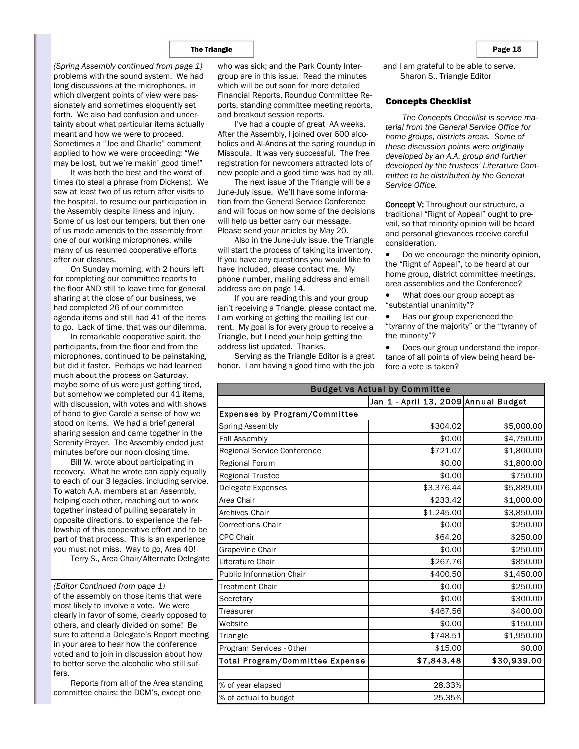problems with the sound system. We had long discussions at the microphones, in which divergent points of view were passionately and sometimes eloquently set forth. We also had confusion and uncertainty about what particular items actually meant and how we were to proceed. Sometimes a "Joe and Charlie" comment applied to how we were proceeding: "We may be lost, but we're makin' good time!" *(Spring Assembly continued from page 1)* 

It was both the best and the worst of times (to steal a phrase from Dickens). We saw at least two of us return after visits to the hospital, to resume our participation in the Assembly despite illness and injury. Some of us lost our tempers, but then one of us made amends to the assembly from one of our working microphones, while many of us resumed cooperative efforts after our clashes.

On Sunday morning, with 2 hours left for completing our committee reports to the floor AND still to leave time for general sharing at the close of our business, we had completed 26 of our committee agenda items and still had 41 of the items to go. Lack of time, that was our dilemma.

In remarkable cooperative spirit, the participants, from the floor and from the microphones, continued to be painstaking, but did it faster. Perhaps we had learned much about the process on Saturday, maybe some of us were just getting tired, but somehow we completed our 41 items, with discussion, with votes and with shows of hand to give Carole a sense of how we stood on items. We had a brief general sharing session and came together in the Serenity Prayer. The Assembly ended just minutes before our noon closing time.

Bill W. wrote about participating in recovery. What he wrote can apply equally to each of our 3 legacies, including service. To watch A.A. members at an Assembly, helping each other, reaching out to work together instead of pulling separately in opposite directions, to experience the fellowship of this cooperative effort and to be part of that process. This is an experience you must not miss. Way to go, Area 40!

Terry S., Area Chair/Alternate Delegate

of the assembly on those items that were most likely to involve a vote. We were clearly in favor of some, clearly opposed to others, and clearly divided on some! Be sure to attend a Delegate's Report meeting in your area to hear how the conference voted and to join in discussion about how to better serve the alcoholic who still suffers. *(Editor Continued from page 1)* 

Reports from all of the Area standing committee chairs; the DCM's, except one

who was sick; and the Park County Intergroup are in this issue. Read the minutes which will be out soon for more detailed Financial Reports, Roundup Committee Reports, standing committee meeting reports, and breakout session reports.

I've had a couple of great AA weeks. After the Assembly, I joined over 600 alcoholics and Al-Anons at the spring roundup in Missoula. It was very successful. The free registration for newcomers attracted lots of new people and a good time was had by all.

The next issue of the Triangle will be a June-July issue. We'll have some information from the General Service Conference and will focus on how some of the decisions will help us better carry our message. Please send your articles by May 20.

Also in the June-July issue, the Triangle will start the process of taking its inventory. If you have any questions you would like to have included, please contact me. My phone number, mailing address and email address are on page 14.

If you are reading this and your group isn't receiving a Triangle, please contact me. I am working at getting the mailing list current. My goal is for every group to receive a Triangle, but I need your help getting the address list updated. Thanks.

Serving as the Triangle Editor is a great honor. I am having a good time with the job

and I am grateful to be able to serve. Sharon S., Triangle Editor

#### Concepts Checklist

*The Concepts Checklist is service material from the General Service Office for home groups, districts areas. Some of these discussion points were originally developed by an A.A. group and further developed by the trustees' Literature Committee to be distributed by the General Service Office.* 

Concept V: Throughout our structure, a traditional "Right of Appeal" ought to prevail, so that minority opinion will be heard and personal grievances receive careful consideration.

• Do we encourage the minority opinion, the "Right of Appeal", to be heard at our home group, district committee meetings, area assemblies and the Conference?

• What does our group accept as "substantial unanimity"?

• Has our group experienced the "tyranny of the majority" or the "tyranny of the minority"?

• Does our group understand the importance of all points of view being heard before a vote is taken?

| <b>Budget vs Actual by Committee</b> |                                      |             |  |
|--------------------------------------|--------------------------------------|-------------|--|
|                                      | Jan 1 - April 13, 2009 Annual Budget |             |  |
| Expenses by Program/Committee        |                                      |             |  |
| Spring Assembly                      | \$304.02                             | \$5,000.00  |  |
| Fall Assembly                        | \$0.00                               | \$4,750.00  |  |
| Regional Service Conference          | \$721.07                             | \$1,800.00  |  |
| Regional Forum                       | \$0.00                               | \$1,800.00  |  |
| <b>Regional Trustee</b>              | \$0.00                               | \$750.00    |  |
| Delegate Expenses                    | \$3,376.44                           | \$5,889.00  |  |
| Area Chair                           | \$233.42                             | \$1,000.00  |  |
| <b>Archives Chair</b>                | \$1,245.00                           | \$3,850.00  |  |
| <b>Corrections Chair</b>             | \$0.00                               | \$250.00    |  |
| <b>CPC Chair</b>                     | \$64.20                              | \$250.00    |  |
| GrapeVine Chair                      | \$0.00                               | \$250.00    |  |
| Literature Chair                     | \$267.76                             | \$850.00    |  |
| <b>Public Information Chair</b>      | \$400.50                             | \$1,450.00  |  |
| <b>Treatment Chair</b>               | \$0.00                               | \$250.00    |  |
| Secretary                            | \$0.00                               | \$300.00    |  |
| Treasurer                            | \$467.56                             | \$400.00    |  |
| Website                              | \$0.00                               | \$150.00    |  |
| Triangle                             | \$748.51                             | \$1,950.00  |  |
| Program Services - Other             | \$15.00                              | \$0.00      |  |
| Total Program/Committee Expense      | \$7,843,48                           | \$30,939.00 |  |
|                                      |                                      |             |  |
| % of year elapsed                    | 28.33%                               |             |  |
| % of actual to budget                | 25.35%                               |             |  |